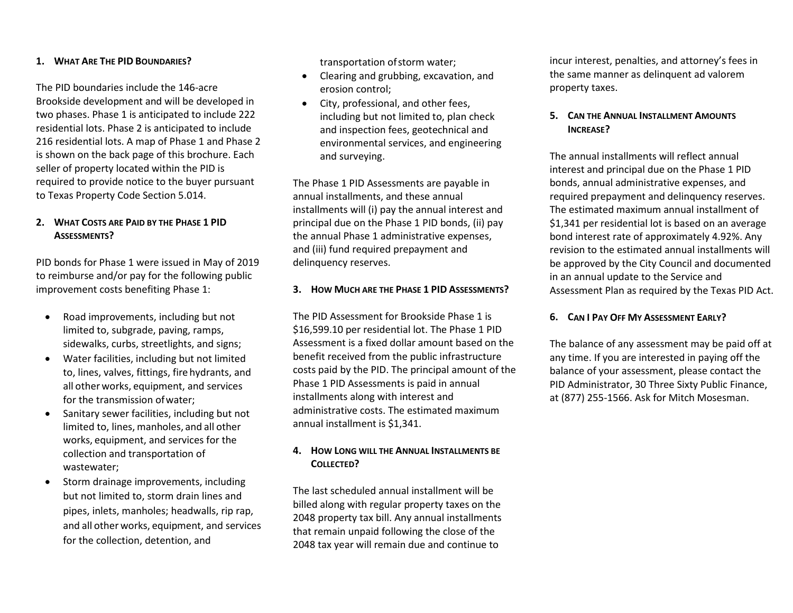#### **1. WHAT ARE THE PID BOUNDARIES?**

The PID boundaries include the 146-acre Brookside development and will be developed in two phases. Phase 1 is anticipated to include 222 residential lots. Phase 2 is anticipated to include 216 residential lots. A map of Phase 1 and Phase 2 is shown on the back page of this brochure. Each seller of property located within the PID is required to provide notice to the buyer pursuant to Texas Property Code Section 5.014.

## **2. WHAT COSTS ARE PAID BY THE PHASE 1 PID ASSESSMENTS?**

PID bonds for Phase 1 were issued in May of 2019 to reimburse and/or pay for the following public improvement costs benefiting Phase 1:

- Road improvements, including but not limited to, subgrade, paving, ramps, sidewalks, curbs, streetlights, and signs;
- Water facilities, including but not limited to, lines, valves, fittings, fire hydrants, and all other works, equipment, and services for the transmission ofwater;
- Sanitary sewer facilities, including but not limited to, lines, manholes, and all other works, equipment, and services for the collection and transportation of wastewater;
- Storm drainage improvements, including but not limited to, storm drain lines and pipes, inlets, manholes; headwalls, rip rap, and all other works, equipment, and services for the collection, detention, and

transportation ofstorm water;

- Clearing and grubbing, excavation, and erosion control;
- City, professional, and other fees, including but not limited to, plan check and inspection fees, geotechnical and environmental services, and engineering and surveying.

The Phase 1 PID Assessments are payable in annual installments, and these annual installments will (i) pay the annual interest and principal due on the Phase 1 PID bonds, (ii) pay the annual Phase 1 administrative expenses, and (iii) fund required prepayment and delinquency reserves.

#### **3. HOW MUCH ARE THE PHASE 1 PID ASSESSMENTS?**

The PID Assessment for Brookside Phase 1 is \$16,599.10 per residential lot. The Phase 1 PID Assessment is a fixed dollar amount based on the benefit received from the public infrastructure costs paid by the PID. The principal amount of the Phase 1 PID Assessments is paid in annual installments along with interest and administrative costs. The estimated maximum annual installment is \$1,341.

## **4. HOW LONG WILL THE ANNUAL INSTALLMENTS BE COLLECTED?**

The last scheduled annual installment will be billed along with regular property taxes on the 2048 property tax bill. Any annual installments that remain unpaid following the close of the 2048 tax year will remain due and continue to

incur interest, penalties, and attorney's fees in the same manner as delinquent ad valorem property taxes.

# **5. CAN THE ANNUAL INSTALLMENT AMOUNTS INCREASE?**

The annual installments will reflect annual interest and principal due on the Phase 1 PID bonds, annual administrative expenses, and required prepayment and delinquency reserves. The estimated maximum annual installment of \$1,341 per residential lot is based on an average bond interest rate of approximately 4.92%. Any revision to the estimated annual installments will be approved by the City Council and documented in an annual update to the Service and Assessment Plan as required by the Texas PID Act.

## **6. CAN I PAY OFF MY ASSESSMENT EARLY?**

The balance of any assessment may be paid off at any time. If you are interested in paying off the balance of your assessment, please contact the PID Administrator, 30 Three Sixty Public Finance, at (877) 255-1566. Ask for Mitch Mosesman.